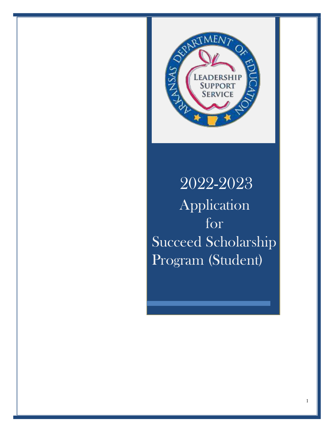

## 2022-2023 Application for Succeed Scholarship Program (Student)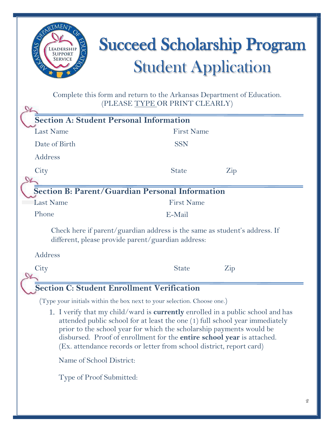

# Succeed Scholarship Program **Student Application**

Complete this form and return to the Arkansas Department of Education. (PLEASE TYPE OR PRINT CLEARLY)

|                  | <b>Section A: Student Personal Information</b>                                                                                                                                                                                                                                                                                                                                                          |                                                                            |                      |
|------------------|---------------------------------------------------------------------------------------------------------------------------------------------------------------------------------------------------------------------------------------------------------------------------------------------------------------------------------------------------------------------------------------------------------|----------------------------------------------------------------------------|----------------------|
| <b>Last Name</b> |                                                                                                                                                                                                                                                                                                                                                                                                         | <b>First Name</b>                                                          |                      |
| Date of Birth    |                                                                                                                                                                                                                                                                                                                                                                                                         | <b>SSN</b>                                                                 |                      |
| Address          |                                                                                                                                                                                                                                                                                                                                                                                                         |                                                                            |                      |
| City             |                                                                                                                                                                                                                                                                                                                                                                                                         | <b>State</b>                                                               | $\operatorname{Zip}$ |
|                  |                                                                                                                                                                                                                                                                                                                                                                                                         |                                                                            |                      |
|                  |                                                                                                                                                                                                                                                                                                                                                                                                         | Section B: Parent/Guardian Personal Information                            |                      |
| <b>Last Name</b> | <b>First Name</b>                                                                                                                                                                                                                                                                                                                                                                                       |                                                                            |                      |
| Phone            |                                                                                                                                                                                                                                                                                                                                                                                                         | E-Mail                                                                     |                      |
| Address          | different, please provide parent/guardian address:                                                                                                                                                                                                                                                                                                                                                      | Check here if parent/guardian address is the same as student's address. If |                      |
| City             |                                                                                                                                                                                                                                                                                                                                                                                                         | <b>State</b>                                                               | $\rm{Zip}$           |
|                  | <b>Section C: Student Enrollment Verification</b>                                                                                                                                                                                                                                                                                                                                                       |                                                                            |                      |
|                  |                                                                                                                                                                                                                                                                                                                                                                                                         | (Type your initials within the box next to your selection. Choose one.)    |                      |
|                  | 1. I verify that my child/ward is <b>currently</b> enrolled in a public school and has<br>attended public school for at least the one (1) full school year immediately<br>prior to the school year for which the scholarship payments would be<br>disbursed. Proof of enrollment for the <b>entire school year</b> is attached.<br>(Ex. attendance records or letter from school district, report card) |                                                                            |                      |
|                  | Name of School District:                                                                                                                                                                                                                                                                                                                                                                                |                                                                            |                      |
|                  | Type of Proof Submitted:                                                                                                                                                                                                                                                                                                                                                                                |                                                                            |                      |
|                  |                                                                                                                                                                                                                                                                                                                                                                                                         |                                                                            |                      |
|                  |                                                                                                                                                                                                                                                                                                                                                                                                         |                                                                            |                      |
|                  |                                                                                                                                                                                                                                                                                                                                                                                                         |                                                                            |                      |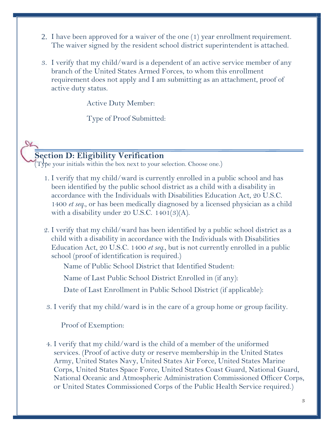- 2. I have been approved for a waiver of the one  $(1)$  year enrollment requirement. The waiver signed by the resident school district superintendent is attached.
- 3. I verify that my child/ward is a dependent of an active service member of any branch of the United States Armed Forces, to whom this enrollment requirement does not apply and I am submitting as an attachment, proof of active duty status.

Active Duty Member:

Type of Proof Submitted:

## **Section D: Eligibility Verification**

(Type your initials within the box next to your selection. Choose one.)

- 1. I verify that my child/ward is currently enrolled in a public school and has been identified by the public school district as a child with a disability in accordance with the Individuals with Disabilities Education Act, 20 U.S.C. 1400 *et seq*., or has been medically diagnosed by a licensed physician as a child with a disability under 20 U.S.C. 1401 $(3)(A)$ .
- 2. I verify that my child/ward has been identified by a public school district as a child with a disability in accordance with the Individuals with Disabilities Education Act, 20 U.S.C. 1400 *et seq*., but is not currently enrolled in a public school (proof of identification is required.)

Name of Public School District that Identified Student:

Name of Last Public School District Enrolled in (if any):

Date of Last Enrollment in Public School District (if applicable):

3. I verify that my child/ward is in the care of a group home or group facility.

Proof of Exemption:

4. I verify that my child/ward is the child of a member of the uniformed services. (Proof of active duty or reserve membership in the United States Army, United States Navy, United States Air Force, United States Marine Corps, United States Space Force, United States Coast Guard, National Guard, National Oceanic and Atmospheric Administration Commissioned Officer Corps, or United States Commissioned Corps of the Public Health Service required.)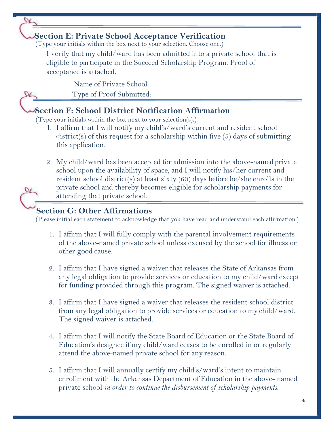#### **Section E: Private School Acceptance Verification**

(Type your initials within the box next to your selection. Choose one.)

I verify that my child/ward has been admitted into a private school that is eligible to participate in the Succeed Scholarship Program. Proof of acceptance is attached.

Name of Private School:

Type of Proof Submitted:

#### **Section F: School District Notification Affirmation**

(Type your initials within the box next to your selection(s).)

- 1. I affirm that I will notify my child's/ward's current and resident school district(s) of this request for a scholarship within five (5) days of submitting this application.
- 2. My child/ward has been accepted for admission into the above-named private school upon the availability of space, and I will notify his/her current and resident school district(s) at least sixty (60) days before he/she enrolls in the private school and thereby becomes eligible for scholarship payments for attending that private school.

## **Section G: Other Affirmations**

(Please initial each statement to acknowledge that you have read and understand each affirmation.)

- 1. I affirm that I will fully comply with the parental involvement requirements of the above-named private school unless excused by the school for illness or other good cause.
- 2. I affirm that I have signed a waiver that releases the State of Arkansas from any legal obligation to provide services or education to my child/ward except for funding provided through this program. The signed waiver is attached.
- 3. I affirm that I have signed a waiver that releases the resident school district from any legal obligation to provide services or education to my child/ward. The signed waiver is attached.
- 4. I affirm that I will notify the State Board of Education or the State Board of Education's designee if my child/ward ceases to be enrolled in or regularly attend the above-named private school for any reason.
- 5. I affirm that I will annually certify my child's/ward's intent to maintain enrollment with the Arkansas Department of Education in the above- named private school *in order to continue the disbursement of scholarship payments*.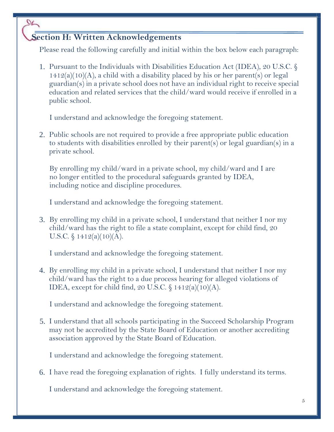## **Section H: Written Acknowledgements**

 $\alpha$ 

Please read the following carefully and initial within the box below each paragraph:

1. Pursuant to the Individuals with Disabilities Education Act (IDEA), 20 U.S.C. §  $1412(a)(10)(A)$ , a child with a disability placed by his or her parent(s) or legal guardian(s) in a private school does not have an individual right to receive special education and related services that the child/ward would receive if enrolled in a public school.

I understand and acknowledge the foregoing statement.

2. Public schools are not required to provide a free appropriate public education to students with disabilities enrolled by their parent(s) or legal guardian(s) in a private school.

By enrolling my child/ward in a private school, my child/ward and I are no longer entitled to the procedural safeguards granted by IDEA, including notice and discipline procedures.

I understand and acknowledge the foregoing statement.

3. By enrolling my child in a private school, I understand that neither I nor my child/ward has the right to file a state complaint, except for child find, 20 U.S.C.  $\frac{1}{9}$  1412(a)(10)(A).

I understand and acknowledge the foregoing statement.

4. By enrolling my child in a private school, I understand that neither I nor my child/ward has the right to a due process hearing for alleged violations of IDEA, except for child find, 20 U.S.C.  $\S 1412(a)(10)(A)$ .

I understand and acknowledge the foregoing statement.

5. I understand that all schools participating in the Succeed Scholarship Program may not be accredited by the State Board of Education or another accrediting association approved by the State Board of Education.

I understand and acknowledge the foregoing statement.

6. I have read the foregoing explanation of rights. I fully understand itsterms.

I understand and acknowledge the foregoing statement.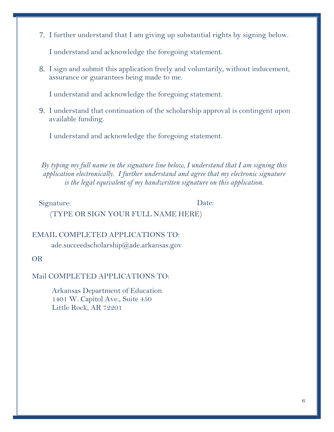7. I further understand that I am giving up substantial rights by signing below.

I understand and acknowledge the foregoing statement.

8. I sign and submit this application freely and voluntarily, without inducement, assurance or guarantees being made to me.

I understand and acknowledge the foregoing statement.

9. I understand that continuation of the scholarship approval is contingent upon available funding.

I understand and acknowledge the foregoing statement.

*By typing my full name in the signature line below, I understand that I am signing this application electronically. I further understand and agree that my electronic signature is the legal equivalent of my handwritten signature on this application.*

Signature: Date:

(TYPE OR SIGN YOUR FULL NAME HERE)

#### EMAIL COMPLETED APPLICATIONS TO:

[ade.succeedscholarship@ade.arkansas.gov](mailto:ade.succeedscholarship@arkansas.gov)

#### OR

#### Mail COMPLETED APPLICATIONS TO:

Arkansas Department of Education 1401 W. Capitol Ave., Suite 450 Little Rock, AR 72201